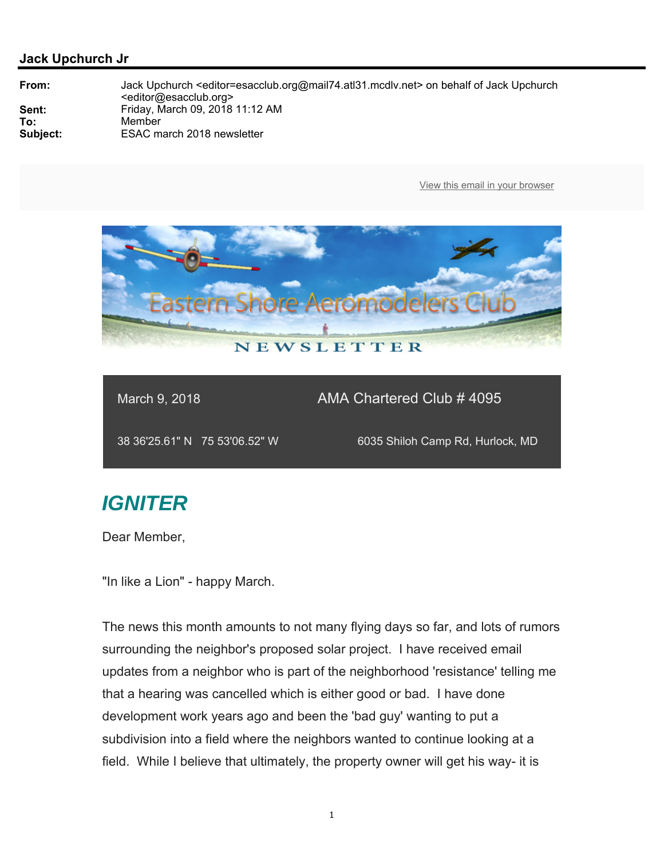

### March 9, 2018 **AMA Chartered Club # 4095**

38 36'25.61" N 75 53'06.52" W 6035 Shiloh Camp Rd, Hurlock, MD

# *IGNITER*

Dear Member,

"In like a Lion" - happy March.

The news this month amounts to not many flying days so far, and lots of rumors surrounding the neighbor's proposed solar project. I have received email updates from a neighbor who is part of the neighborhood 'resistance' telling me that a hearing was cancelled which is either good or bad. I have done development work years ago and been the 'bad guy' wanting to put a subdivision into a field where the neighbors wanted to continue looking at a field. While I believe that ultimately, the property owner will get his way- it is

1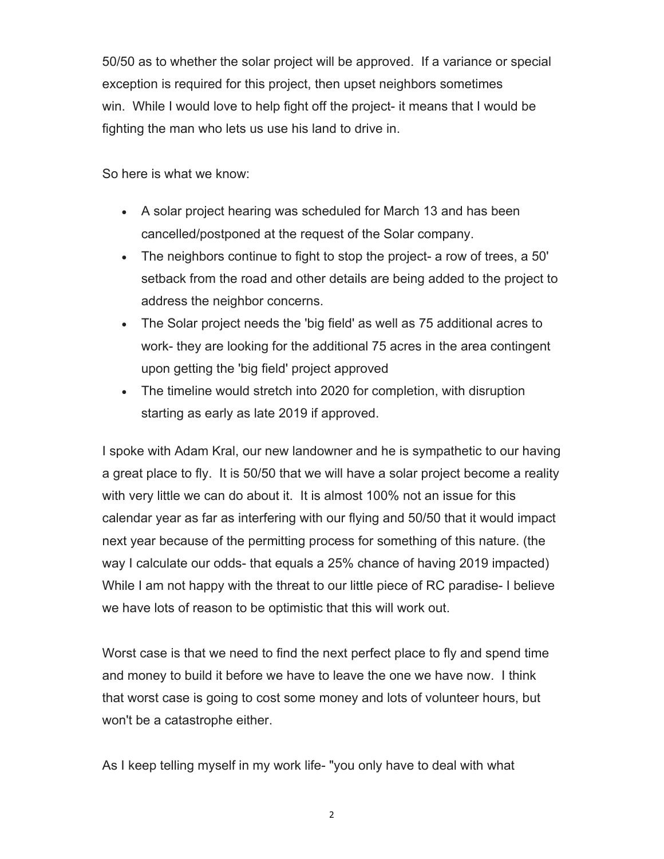50/50 as to whether the solar project will be approved. If a variance or special exception is required for this project, then upset neighbors sometimes win. While I would love to help fight off the project- it means that I would be fighting the man who lets us use his land to drive in.

So here is what we know:

- A solar project hearing was scheduled for March 13 and has been cancelled/postponed at the request of the Solar company.
- The neighbors continue to fight to stop the project- a row of trees, a 50' setback from the road and other details are being added to the project to address the neighbor concerns.
- The Solar project needs the 'big field' as well as 75 additional acres to work- they are looking for the additional 75 acres in the area contingent upon getting the 'big field' project approved
- The timeline would stretch into 2020 for completion, with disruption starting as early as late 2019 if approved.

I spoke with Adam Kral, our new landowner and he is sympathetic to our having a great place to fly. It is 50/50 that we will have a solar project become a reality with very little we can do about it. It is almost 100% not an issue for this calendar year as far as interfering with our flying and 50/50 that it would impact next year because of the permitting process for something of this nature. (the way I calculate our odds- that equals a 25% chance of having 2019 impacted) While I am not happy with the threat to our little piece of RC paradise- I believe we have lots of reason to be optimistic that this will work out.

Worst case is that we need to find the next perfect place to fly and spend time and money to build it before we have to leave the one we have now. I think that worst case is going to cost some money and lots of volunteer hours, but won't be a catastrophe either.

As I keep telling myself in my work life- "you only have to deal with what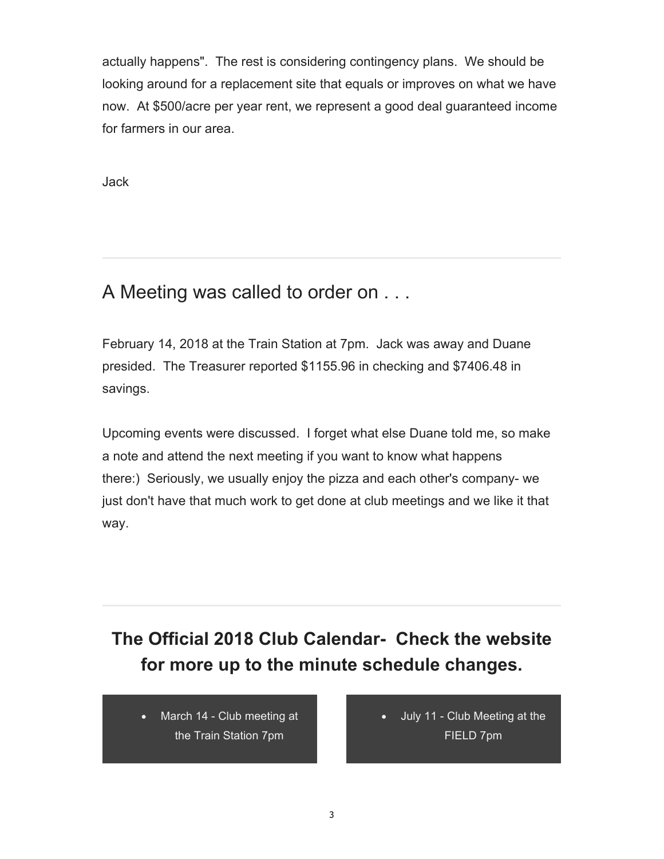actually happens". The rest is considering contingency plans. We should be looking around for a replacement site that equals or improves on what we have now. At \$500/acre per year rent, we represent a good deal guaranteed income for farmers in our area.

Jack

## A Meeting was called to order on . . .

February 14, 2018 at the Train Station at 7pm. Jack was away and Duane presided. The Treasurer reported \$1155.96 in checking and \$7406.48 in savings.

Upcoming events were discussed. I forget what else Duane told me, so make a note and attend the next meeting if you want to know what happens there:) Seriously, we usually enjoy the pizza and each other's company- we just don't have that much work to get done at club meetings and we like it that way.

## **The Official 2018 Club Calendar- Check the website for more up to the minute schedule changes.**

 March 14 - Club meeting at the Train Station 7pm

 July 11 - Club Meeting at the FIELD 7pm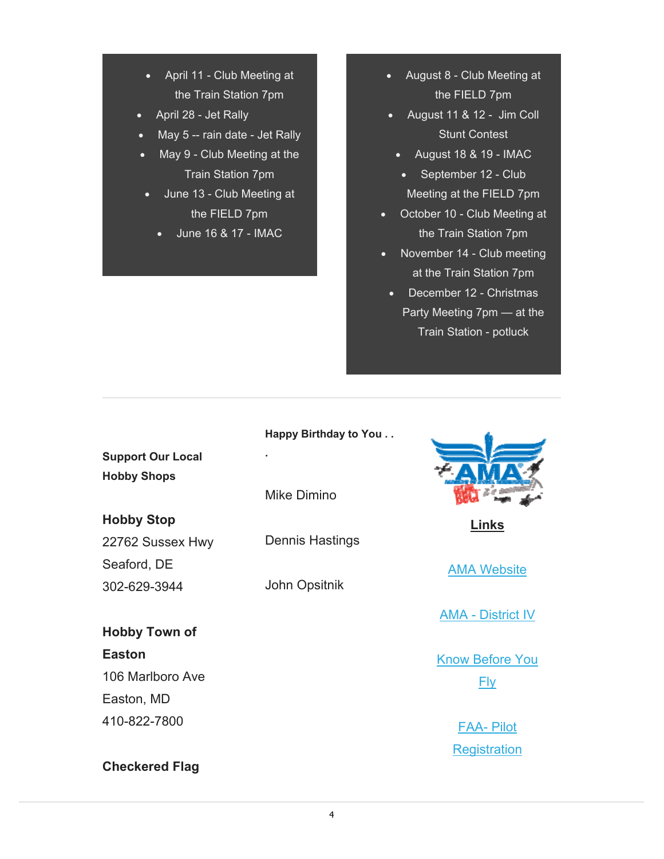- April 11 Club Meeting at the Train Station 7pm
- April 28 Jet Rally
- May 5 -- rain date Jet Rally
- May 9 Club Meeting at the Train Station 7pm
	- June 13 Club Meeting at the FIELD 7pm
		- June 16 & 17 IMAC
- August 8 Club Meeting at the FIELD 7pm
- August 11 & 12 Jim Coll Stunt Contest
	- $\bullet$  August 18 & 19 IMAC
	- September 12 Club Meeting at the FIELD 7pm
- October 10 Club Meeting at the Train Station 7pm
- November 14 Club meeting at the Train Station 7pm
	- December 12 Christmas Party Meeting 7pm — at the Train Station - potluck

### **Happy Birthday to You . .**

**Support Our Local Hobby Shops**

#### **Hobby Stop**

22762 Sussex Hwy Seaford, DE 302-629-3944

**Hobby Town of Easton** 106 Marlboro Ave Easton, MD 410-822-7800

**Checkered Flag** 

Mike Dimino

**.**

Dennis Hastings

John Opsitnik



**Links** 

AMA Website

AMA - District IV

Know Before You

Fly

FAA- Pilot **Registration**